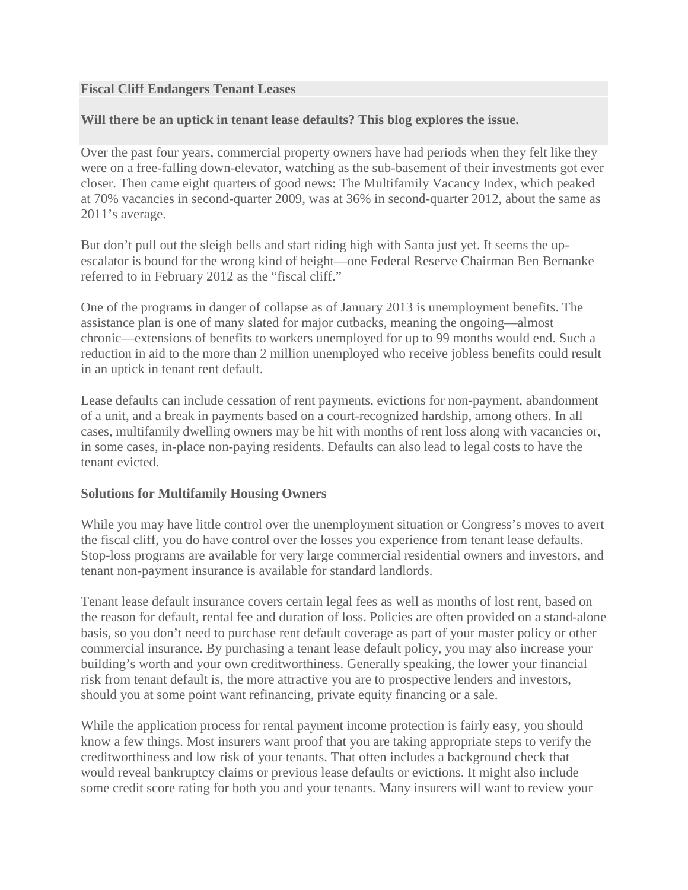## **Fiscal Cliff Endangers Tenant Leases**

## **Will there be an uptick in tenant lease defaults? This blog explores the issue.**

Over the past four years, commercial property owners have had periods when they felt like they were on a free-falling down-elevator, watching as the sub-basement of their investments got ever closer. Then came eight quarters of good news: The Multifamily Vacancy Index, which peaked at 70% vacancies in second-quarter 2009, was at 36% in second-quarter 2012, about the same as 2011's average.

But don't pull out the sleigh bells and start riding high with Santa just yet. It seems the upescalator is bound for the wrong kind of height—one Federal Reserve Chairman Ben Bernanke referred to in February 2012 as the "fiscal cliff."

One of the programs in danger of collapse as of January 2013 is unemployment benefits. The assistance plan is one of many slated for major cutbacks, meaning the ongoing—almost chronic—extensions of benefits to workers unemployed for up to 99 months would end. Such a reduction in aid to the more than 2 million unemployed who receive jobless benefits could result in an uptick in tenant rent default.

Lease defaults can include cessation of rent payments, evictions for non-payment, abandonment of a unit, and a break in payments based on a court-recognized hardship, among others. In all cases, multifamily dwelling owners may be hit with months of rent loss along with vacancies or, in some cases, in-place non-paying residents. Defaults can also lead to legal costs to have the tenant evicted.

## **Solutions for Multifamily Housing Owners**

While you may have little control over the unemployment situation or Congress's moves to avert the fiscal cliff, you do have control over the losses you experience from tenant lease defaults. Stop-loss programs are available for very large commercial residential owners and investors, and tenant non-payment insurance is available for standard landlords.

Tenant lease default insurance covers certain legal fees as well as months of lost rent, based on the reason for default, rental fee and duration of loss. Policies are often provided on a stand-alone basis, so you don't need to purchase rent default coverage as part of your master policy or other commercial insurance. By purchasing a tenant lease default policy, you may also increase your building's worth and your own creditworthiness. Generally speaking, the lower your financial risk from tenant default is, the more attractive you are to prospective lenders and investors, should you at some point want refinancing, private equity financing or a sale.

While the application process for rental payment income protection is fairly easy, you should know a few things. Most insurers want proof that you are taking appropriate steps to verify the creditworthiness and low risk of your tenants. That often includes a background check that would reveal bankruptcy claims or previous lease defaults or evictions. It might also include some credit score rating for both you and your tenants. Many insurers will want to review your